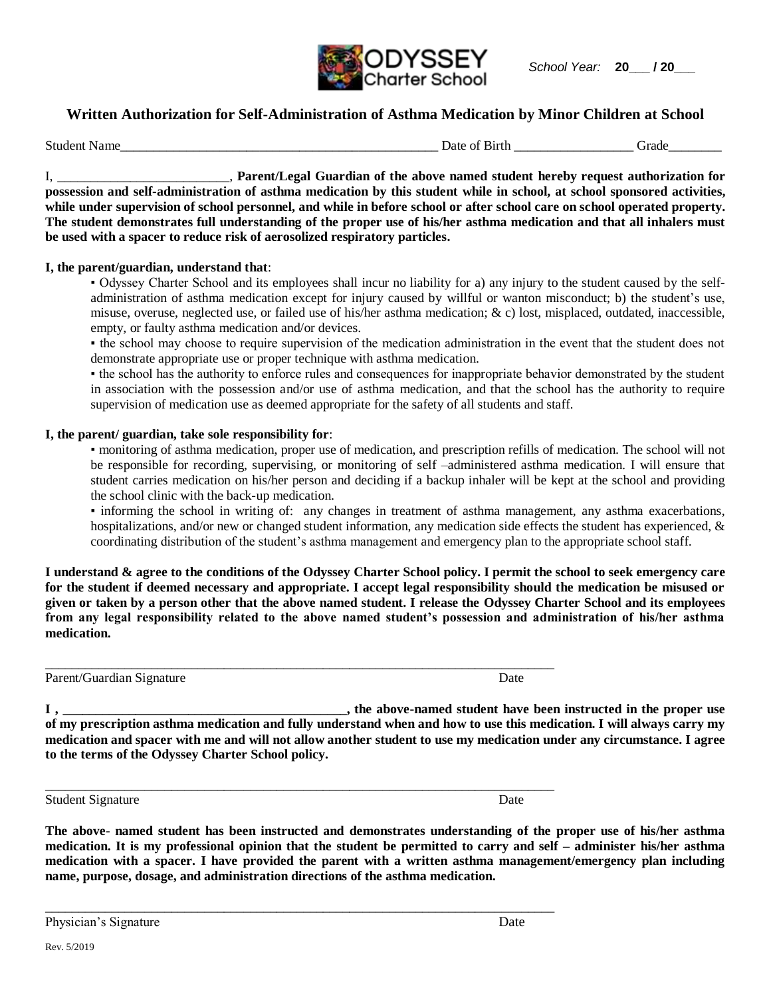

# **Written Authorization for Self-Administration of Asthma Medication by Minor Children at School**

Student Name The Contract of Sixteen and Student Name Crackers and Student Name Crackers and Student Association of the Crackers of Birth Grade

I, \_\_\_\_\_\_\_\_\_\_\_\_\_\_\_\_\_\_\_\_\_\_\_\_\_\_, **Parent/Legal Guardian of the above named student hereby request authorization for possession and self-administration of asthma medication by this student while in school, at school sponsored activities, while under supervision of school personnel, and while in before school or after school care on school operated property. The student demonstrates full understanding of the proper use of his/her asthma medication and that all inhalers must be used with a spacer to reduce risk of aerosolized respiratory particles.** 

#### **I, the parent/guardian, understand that**:

▪ Odyssey Charter School and its employees shall incur no liability for a) any injury to the student caused by the selfadministration of asthma medication except for injury caused by willful or wanton misconduct; b) the student's use, misuse, overuse, neglected use, or failed use of his/her asthma medication; & c) lost, misplaced, outdated, inaccessible, empty, or faulty asthma medication and/or devices.

▪ the school may choose to require supervision of the medication administration in the event that the student does not demonstrate appropriate use or proper technique with asthma medication.

▪ the school has the authority to enforce rules and consequences for inappropriate behavior demonstrated by the student in association with the possession and/or use of asthma medication, and that the school has the authority to require supervision of medication use as deemed appropriate for the safety of all students and staff.

### **I, the parent/ guardian, take sole responsibility for**:

▪ monitoring of asthma medication, proper use of medication, and prescription refills of medication. The school will not be responsible for recording, supervising, or monitoring of self –administered asthma medication. I will ensure that student carries medication on his/her person and deciding if a backup inhaler will be kept at the school and providing the school clinic with the back-up medication.

▪ informing the school in writing of: any changes in treatment of asthma management, any asthma exacerbations, hospitalizations, and/or new or changed student information, any medication side effects the student has experienced, & coordinating distribution of the student's asthma management and emergency plan to the appropriate school staff.

**I understand & agree to the conditions of the Odyssey Charter School policy. I permit the school to seek emergency care for the student if deemed necessary and appropriate. I accept legal responsibility should the medication be misused or given or taken by a person other that the above named student. I release the Odyssey Charter School and its employees from any legal responsibility related to the above named student's possession and administration of his/her asthma medication.**

 $\Box$ 

 $\Box$ 

\_\_\_\_\_\_\_\_\_\_\_\_\_\_\_\_\_\_\_\_\_\_\_\_\_\_\_\_\_\_\_\_\_\_\_\_\_\_\_\_\_\_\_\_\_\_\_\_\_\_\_\_\_\_\_\_\_\_\_\_\_\_\_\_\_\_\_\_\_\_\_\_\_\_\_\_\_

Parent/Guardian Signature Date Date Date Date Date Date Date

**I , \_\_\_\_\_\_\_\_\_\_\_\_\_\_\_\_\_\_\_\_\_\_\_\_\_\_\_\_\_\_\_\_\_\_\_\_\_\_\_\_\_\_\_, the above-named student have been instructed in the proper use of my prescription asthma medication and fully understand when and how to use this medication. I will always carry my medication and spacer with me and will not allow another student to use my medication under any circumstance. I agree to the terms of the Odyssey Charter School policy.**

Student Signature Date Date of the United Students and Date Date Date Date

**The above- named student has been instructed and demonstrates understanding of the proper use of his/her asthma medication. It is my professional opinion that the student be permitted to carry and self – administer his/her asthma medication with a spacer. I have provided the parent with a written asthma management/emergency plan including name, purpose, dosage, and administration directions of the asthma medication.**

Physician's Signature Date